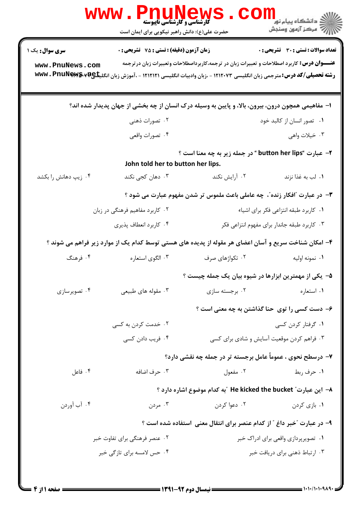|                                                                                                   | <b>PAUL</b><br><b>گارشناسی و کارشناسی ناپیوسته</b><br>حضرت علی(ع): دانش راهبر نیکویی برای ایمان است |                                                                                                                                                                                                                                     | لاد دانشگاه پيام نور <mark>- ا</mark><br>الا - مرکز آزمون وسنجش |  |  |
|---------------------------------------------------------------------------------------------------|-----------------------------------------------------------------------------------------------------|-------------------------------------------------------------------------------------------------------------------------------------------------------------------------------------------------------------------------------------|-----------------------------------------------------------------|--|--|
| سری سوال: یک ۱                                                                                    | <b>زمان آزمون (دقیقه) : تستی : 75 تشریحی : 0</b>                                                    |                                                                                                                                                                                                                                     | <b>تعداد سوالات : تستی : 30 ٪ تشریحی : 0</b>                    |  |  |
| www.PnuNews.com                                                                                   |                                                                                                     | <b>عنــــوان درس:</b> کاربرد اصطلاحات و تعبیرات زبان در ترجمه،کاربرداصطلاحات وتعبیرات زبان درترجمه<br><b>رشته تحصیلی/کد درس:</b> مترجمی زبان انگلیسی ۱۲۱۲۰۷۳ - ،زبان وادبیات انگلیسی ۱۲۱۲۱۲۱ - ،آموزش زبان انگلیکهwwv . PnuNews.v¤e |                                                                 |  |  |
| ا- مفاهیمی همچون درون، بیرون، بالا، و پایین به وسیله درک انسان از چه بخشی از جهان پدیدار شده اند؟ |                                                                                                     |                                                                                                                                                                                                                                     |                                                                 |  |  |
|                                                                                                   | ۰۲ تصورات ذهنی                                                                                      |                                                                                                                                                                                                                                     | ۰۱ تصور انسان از کالبد خود                                      |  |  |
|                                                                                                   | ۰۴ تصورات واقعی                                                                                     |                                                                                                                                                                                                                                     | ۰۳ خیلات واهی                                                   |  |  |
| ۲- عبارت "button her lips " در جمله زیر به چه معنا است ؟<br>John told her to button her lips.     |                                                                                                     |                                                                                                                                                                                                                                     |                                                                 |  |  |
| ۰۴ زیپ دهانش را بکشد                                                                              | ۰۳ دهان کجی نکند                                                                                    | ۰۲ آرایش نکند                                                                                                                                                                                                                       | ٠١. لب به غذا نزند                                              |  |  |
|                                                                                                   |                                                                                                     | ۳- در عبارت "افکار زنده"، چه عاملی باعث ملموس تر شدن مفهوم عبارت می شود ؟                                                                                                                                                           |                                                                 |  |  |
|                                                                                                   | ۰۲ کاربرد مفاهیم فرهنگی در زبان                                                                     | ٠١ كاربرد طبقه انتزاعى فكر براي اشياء                                                                                                                                                                                               |                                                                 |  |  |
|                                                                                                   | ۰۴ كاربرد انعطاف پذيري                                                                              |                                                                                                                                                                                                                                     | ۰۳ کاربرد طبقه جاندار برای مفهوم انتزاعی فکر                    |  |  |
|                                                                                                   |                                                                                                     | ۴- امکان شناخت سریع و آسان اعضای هر مقوله از پدیده های هستی توسط کدام یک از موارد زیر فراهم می شوند ؟                                                                                                                               |                                                                 |  |  |
| ۰۴ فرهنگ                                                                                          | ۰۳ الگوي استعاره                                                                                    | ۰۲ تکواژهای صرف                                                                                                                                                                                                                     | ۰۱ نمونه اوليه                                                  |  |  |
|                                                                                                   |                                                                                                     | ۵– یکی از مهمترین ابزارها در شیوه بیان یک جمله چیست ؟                                                                                                                                                                               |                                                                 |  |  |
| ۰۴ تصویرسازی                                                                                      | ۰۳ مقوله های طبیعی                                                                                  | ۰۲ برجسته سازی                                                                                                                                                                                                                      | ٠١ استعاره                                                      |  |  |
|                                                                                                   |                                                                                                     | ۶– دست کسی را توی حنا گذاشتن به چه معنی است ؟                                                                                                                                                                                       |                                                                 |  |  |
|                                                                                                   | ۰۲ خدمت کردن به کسی                                                                                 |                                                                                                                                                                                                                                     | ۰۱ گرفتار کردن کسی                                              |  |  |
|                                                                                                   | ۰۴ فریب دادن کسی                                                                                    |                                                                                                                                                                                                                                     | ۰۳ فراهم کردن موقعیت آسایش و شادی برای کسی                      |  |  |
|                                                                                                   |                                                                                                     | ۷– درسطح نحوی ، عموماً عامل برجسته تر در جمله چه نقشی دارد؟                                                                                                                                                                         |                                                                 |  |  |
| ۰۴ فاعل                                                                                           | ۰۳ حرف اضافه                                                                                        | ۰۲ مفعول                                                                                                                                                                                                                            | ۰۱ حرف ربط                                                      |  |  |
|                                                                                                   |                                                                                                     | ٨− این عبارت″ He kicked the bucket ″به کدام موضوع اشاره دارد ؟                                                                                                                                                                      |                                                                 |  |  |
| ۰۴ آب آوردن                                                                                       | ۰۳ مردن                                                                                             | ۰۲ دعوا کردن                                                                                                                                                                                                                        | ۰۱ بازی کردن                                                    |  |  |
|                                                                                                   |                                                                                                     | ۹- در عبارت "خبر داغ " از کدام عنصر برای انتقال معنی  ستفاده شده است ؟                                                                                                                                                              |                                                                 |  |  |
| ۰۲ عنصر فرهنگی برای تفاوت خبر                                                                     |                                                                                                     |                                                                                                                                                                                                                                     | ۰۱ تصویرپردازی واقعی برای ادراک خبر                             |  |  |
|                                                                                                   | ۰۴ حس لامسه برای تازگی خبر                                                                          |                                                                                                                                                                                                                                     | ۰۳ ارتباط ذهنی برای دریافت خبر                                  |  |  |
|                                                                                                   |                                                                                                     |                                                                                                                                                                                                                                     |                                                                 |  |  |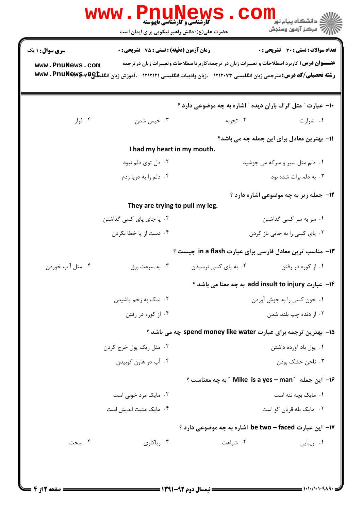|                        | <b>گارشناسی و کارشناسی ناپیوسته</b><br>حضرت علی(ع): دانش راهبر نیکویی برای ایمان است |                                                                                                                                                                                                                                    | <mark>ڪ دانشڪاه پيام نور</mark><br>رآ مرڪز آزمون وسنڊش |
|------------------------|--------------------------------------------------------------------------------------|------------------------------------------------------------------------------------------------------------------------------------------------------------------------------------------------------------------------------------|--------------------------------------------------------|
| <b>سری سوال : ۱ یک</b> | زمان آزمون (دقيقه) : تستى : 75 ٪ تشريحي : 0                                          |                                                                                                                                                                                                                                    | <b>تعداد سوالات : تستي : 30 ٪ تشريحي : 0</b>           |
| www.PnuNews.com        |                                                                                      | <b>عنــــوان درس:</b> کاربرد اصطلاحات و تعبیرات زبان در ترجمه،کاربرداصطلاحات وتعبیرات زبان درترجمه<br><b>رشته تحصیلی/کد درس:</b> مترجمی زبان انگلیسی ۱۲۱۲۰۷۳ - ،زبان وادبیات انگلیسی ۱۲۱۲۱۲۱ - ،آموزش زبان انگلیکهwwv . PnuNews.v¤ |                                                        |
|                        |                                                                                      | ۱۰- عبارت ″ مثل گرگ باران دیده ″ اشاره به چه موضوعی دارد ؟                                                                                                                                                                         |                                                        |
| ۰۴ فرار                | ۰۳ خیس شدن                                                                           | ۰۲ تجربه                                                                                                                                                                                                                           | ۰۱ شرارت                                               |
|                        | I had my heart in my mouth.                                                          |                                                                                                                                                                                                                                    | 11- بهترین معادل برای این جمله چه می باشد؟             |
|                        | ۰۲ دل توی دلم نبود                                                                   |                                                                                                                                                                                                                                    | ۰۱ دلم مثل سیر و سرکه می جوشید                         |
|                        | ۰۴ دلم را به دریا زدم                                                                |                                                                                                                                                                                                                                    | ۰۳ به دلم برات شده بود                                 |
|                        |                                                                                      |                                                                                                                                                                                                                                    | <b>۱۲</b> - جمله زیر به چه موضوعی اشاره دارد ؟         |
|                        | They are trying to pull my leg.                                                      |                                                                                                                                                                                                                                    |                                                        |
|                        | ۰۲ پا جای پای کسی گذاشتن                                                             |                                                                                                                                                                                                                                    | ۰۱ سر به سر کسی گذاشتن                                 |
|                        | ۰۴ دست از پا خطا نکردن                                                               |                                                                                                                                                                                                                                    | ۰۳ پای کسی را به جایی باز کردن                         |
|                        |                                                                                      | ۱۳- مناسب ترین معادل فارسی برای عبارت in a flash چیست ؟                                                                                                                                                                            |                                                        |
| ۰۴ مثل آ ب خوردن       | ۰۳ به سرعت برق                                                                       | ۰۲ به پای کسی نرسیدن                                                                                                                                                                                                               | ۰۱ از کوره در رفتن                                     |
|                        |                                                                                      | 1۴– عبارت add insult to injury به چه معنا می باشد ؟                                                                                                                                                                                |                                                        |
|                        | ۰۲ نمک به زخم پاشیدن                                                                 |                                                                                                                                                                                                                                    | ۰۱ خون کسی را به جوش آوردن                             |
|                        | ۰۴ از کوره در رفتن                                                                   |                                                                                                                                                                                                                                    | ۰۳ از دنده چپ بلند شدن                                 |
|                        |                                                                                      | 15- بهترین ترجمه برای عبارت spend money like water چه می باشد ؟                                                                                                                                                                    |                                                        |
|                        | ۰۲ مثل ريگ يول خرج کردن                                                              |                                                                                                                                                                                                                                    | ٠١. پول باد آورده داشتن                                |
|                        | ۰۴ آب در هاون کوبیدن                                                                 |                                                                                                                                                                                                                                    | ۰۳ ناخن خشک بودن                                       |
|                        |                                                                                      | ۱۶ - این جمله "Mike is a yes – man " به چه معناست ؟                                                                                                                                                                                |                                                        |
|                        | ۰۲ مایک مرد خوبی است                                                                 |                                                                                                                                                                                                                                    | ۰۱ مایک بچه ننه است                                    |
|                        | ۰۴ مایک مثبت اندیش است                                                               |                                                                                                                                                                                                                                    | ۰۳ مایک بله قربان گو است                               |
|                        |                                                                                      | 17- این عبارت be two - faced اشاره به چه موضوعی دارد ؟                                                                                                                                                                             |                                                        |
| ۰۴ سخت                 | ۰۳ ریاکاری                                                                           | ۰۲ شباهت                                                                                                                                                                                                                           | ۰۱ زیبایی                                              |
|                        |                                                                                      |                                                                                                                                                                                                                                    |                                                        |
|                        |                                                                                      |                                                                                                                                                                                                                                    |                                                        |
|                        |                                                                                      |                                                                                                                                                                                                                                    |                                                        |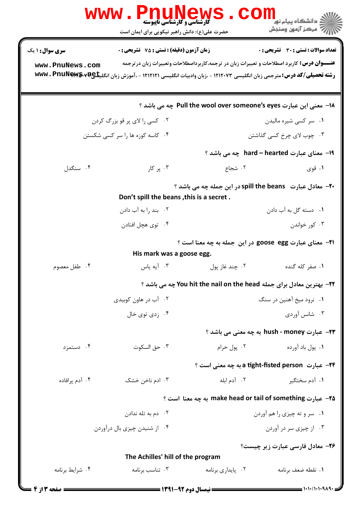|                                                                                                      | PAUNE<br><b>گارشناسی و کارشناسی ناپیوسته</b><br>حضرت علی(ع): دانش راهبر نیکویی برای ایمان است                        |                                                                                                   | ے<br>دانشگاہ پیام نور<br>رآب آمرڪز آزمون وسنڊش                            |  |
|------------------------------------------------------------------------------------------------------|----------------------------------------------------------------------------------------------------------------------|---------------------------------------------------------------------------------------------------|---------------------------------------------------------------------------|--|
| <b>سری سوال : ۱ یک</b>                                                                               | <b>زمان آزمون (دقیقه) : تستی : 75 ٪ تشریحی : 0</b>                                                                   |                                                                                                   | تعداد سوالات : تستي : 30 ٪ تشريحي : 0                                     |  |
| www.PnuNews.com                                                                                      | رشته تحصیلی/کد درس: مترجمی زبان انگلیسی ۱۲۱۲۰۷۳ - ،زبان وادبیات انگلیسی ۱۲۱۲۱۲۱ - ،آموزش زبان انگلیکی۷۷&wwv . PnuNew | <b>عنـــوان درس:</b> کاربرد اصطلاحات و تعبیرات زبان در ترجمه،کاربرداصطلاحات وتعبیرات زبان درترجمه |                                                                           |  |
|                                                                                                      |                                                                                                                      | ۱۸− معنی این عبارت Pull the wool over someone's eyes چه می باشد ؟                                 |                                                                           |  |
| ۰۲ کسی را لای پر قو بزرگ کردن<br>۰۱ سر کسی شیره مالیدن                                               |                                                                                                                      |                                                                                                   |                                                                           |  |
|                                                                                                      | ۰۴ کاسه کوزه ها را سر کسی شکستن                                                                                      |                                                                                                   | ۰۳ چوب لای چرخ کسی گذاشتن                                                 |  |
|                                                                                                      |                                                                                                                      |                                                                                                   | 1۹– معنای عبارت hard – hearted  چه می باشد ؟                              |  |
| ۰۴ سنگدل                                                                                             | ۰۳ پر کار                                                                                                            | ۰۲ شجاع                                                                                           | ۰۱ قوي                                                                    |  |
| -۲- معادل عبارت spill the beans در این جمله چه می باشد ؟<br>Don't spill the beans, this is a secret. |                                                                                                                      |                                                                                                   |                                                                           |  |
|                                                                                                      | ۰۲ بند را به آب دادن                                                                                                 |                                                                                                   | ۰۱ دسته گل به آب دادن                                                     |  |
|                                                                                                      | ۰۴ توی هچل افتادن                                                                                                    |                                                                                                   | ۰۳ کور خواندن                                                             |  |
|                                                                                                      | His mark was a goose egg.                                                                                            | 21- معنای عبارت goose egg در این جمله به چه معنا است ؟                                            |                                                                           |  |
| ۰۴ طفل معصوم                                                                                         | ۰۳ آيه ياس                                                                                                           | ۰۲ چند غاز پول                                                                                    | ۰۱ صفر کله گنده                                                           |  |
|                                                                                                      |                                                                                                                      | 22- بهترین معادل برای جمله You hit the nail on the head چه می باشد ؟                              |                                                                           |  |
|                                                                                                      | ۰۲ آب در هاون کوبیدی                                                                                                 |                                                                                                   | ۰۱ نرود میخ آهنین در سنگ                                                  |  |
|                                                                                                      | ۰۴ زدی توی خال                                                                                                       |                                                                                                   | ۰۳ شانس آوردی                                                             |  |
|                                                                                                      |                                                                                                                      |                                                                                                   | <b>۲۳- عبارت hush - money به چه معنی می باشد</b> ؟                        |  |
| ۰۴ دستمزد                                                                                            | ۰۳ حق السكوت                                                                                                         | ۰۲ یول حرام                                                                                       | ۰۱ یول باد آورده                                                          |  |
|                                                                                                      |                                                                                                                      |                                                                                                   | ۲۴– عبارت a tight-fisted person به چه معنی است ؟                          |  |
| ۰۴ آدم برافاده                                                                                       | ۰۳ ادم ناخن خشک                                                                                                      | ۲. آدم ابله                                                                                       | ۰۱ آدم سختگیر                                                             |  |
|                                                                                                      |                                                                                                                      | ∆۲– عبارت make head or tail of something به چه معنا است ؟                                         |                                                                           |  |
|                                                                                                      | ۰۲ دم به تله ندادن                                                                                                   |                                                                                                   | ۰۱ سر و ته چیزی را هم آوردن                                               |  |
|                                                                                                      | ۰۴ از شنیدن چیزی بال درآوردن                                                                                         |                                                                                                   | ۰۳ از چیزی سر در آوردن                                                    |  |
| ۲۶- معادل فارسی عبارت زیر چیست؟<br>The Achilles' hill of the program                                 |                                                                                                                      |                                                                                                   |                                                                           |  |
| ۰۴ شرایط برنامه                                                                                      | ۰۳ تناسب برنامه                                                                                                      | ٠٢ يايداري برنامه                                                                                 | ۰۱ نقطه ضعف برنامه                                                        |  |
| = صفحه 13 ; 4 =                                                                                      |                                                                                                                      |                                                                                                   | $\longrightarrow$ $\longmapsto$ $\longmapsto$ $\longmapsto$ $\longmapsto$ |  |